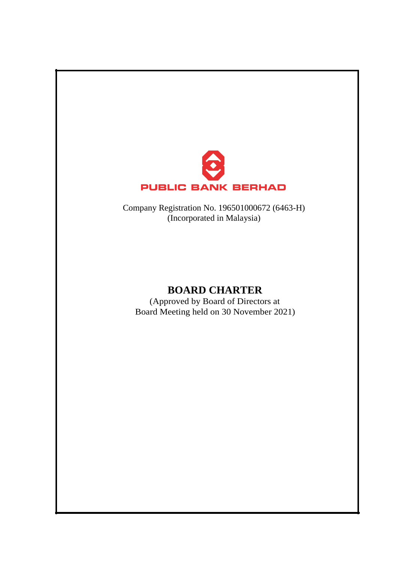

Company Registration No. 196501000672 (6463-H) (Incorporated in Malaysia)

# **BOARD CHARTER**

(Approved by Board of Directors at Board Meeting held on 30 November 2021)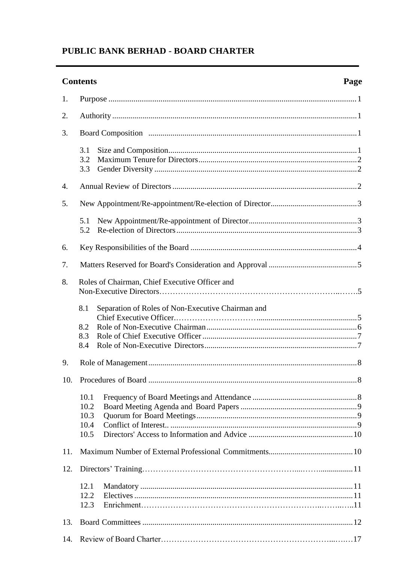# **Contents**

| 1.  |                                                |                                                   |
|-----|------------------------------------------------|---------------------------------------------------|
| 2.  |                                                |                                                   |
| 3.  |                                                |                                                   |
|     | 3.1<br>3.2<br>3.3                              |                                                   |
| 4.  |                                                |                                                   |
| 5.  |                                                |                                                   |
|     | 5.1<br>5.2                                     |                                                   |
| 6.  |                                                |                                                   |
| 7.  |                                                |                                                   |
| 8.  | Roles of Chairman, Chief Executive Officer and |                                                   |
|     | 8.1<br>8.2<br>8.3<br>8.4                       | Separation of Roles of Non-Executive Chairman and |
| 9.  |                                                |                                                   |
| 10. |                                                |                                                   |
|     | 10.1<br>10.2<br>10.3<br>10.4<br>10.5           |                                                   |
| 11. |                                                |                                                   |
| 12. |                                                |                                                   |
|     | 12.1<br>12.2<br>12.3                           |                                                   |
| 13. |                                                |                                                   |
| 14. |                                                |                                                   |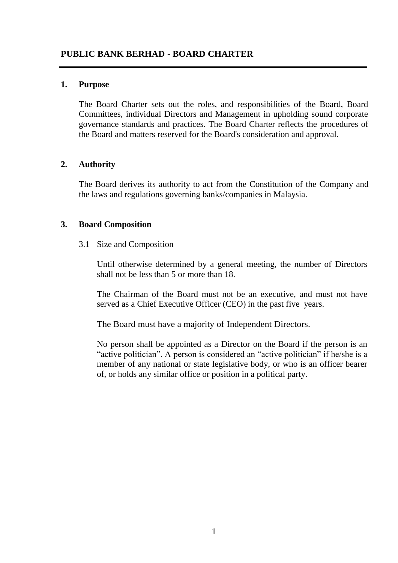## <span id="page-2-0"></span>**1. Purpose**

The Board Charter sets out the roles, and responsibilities of the Board, Board Committees, individual Directors and Management in upholding sound corporate governance standards and practices. The Board Charter reflects the procedures of the Board and matters reserved for the Board's consideration and approval.

## <span id="page-2-1"></span>**2. Authority**

The Board derives its authority to act from the Constitution of the Company and the laws and regulations governing banks/companies in Malaysia.

## <span id="page-2-2"></span>**3. Board Composition**

3.1 Size and Composition

Until otherwise determined by a general meeting, the number of Directors shall not be less than 5 or more than 18.

The Chairman of the Board must not be an executive, and must not have served as a Chief Executive Officer (CEO) in the past five years.

The Board must have a majority of Independent Directors.

No person shall be appointed as a Director on the Board if the person is an "active politician". A person is considered an "active politician" if he/she is a member of any national or state legislative body, or who is an officer bearer of, or holds any similar office or position in a political party.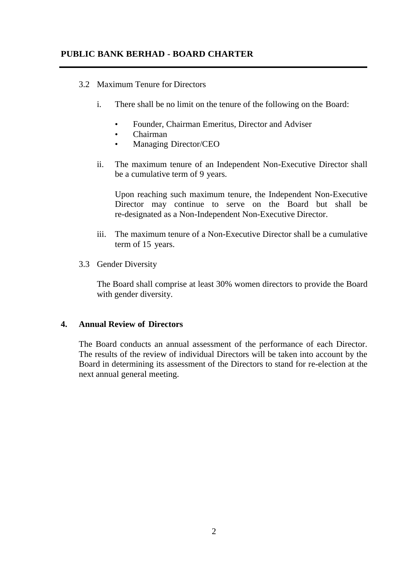## 3.2 Maximum Tenure for Directors

- i. There shall be no limit on the tenure of the following on the Board:
	- Founder, Chairman Emeritus, Director and Adviser
	- Chairman
	- Managing Director/CEO
- ii. The maximum tenure of an Independent Non-Executive Director shall be a cumulative term of 9 years.

Upon reaching such maximum tenure, the Independent Non-Executive Director may continue to serve on the Board but shall be re-designated as a Non-Independent Non-Executive Director.

- iii. The maximum tenure of a Non-Executive Director shall be a cumulative term of 15 years.
- 3.3 Gender Diversity

The Board shall comprise at least 30% women directors to provide the Board with gender diversity.

## <span id="page-3-0"></span>**4. Annual Review of Directors**

The Board conducts an annual assessment of the performance of each Director. The results of the review of individual Directors will be taken into account by the Board in determining its assessment of the Directors to stand for re-election at the next annual general meeting.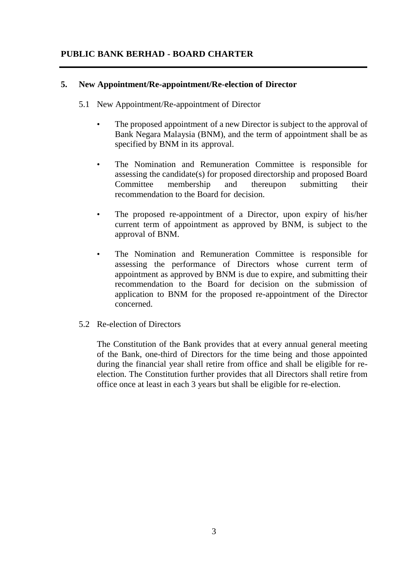## <span id="page-4-0"></span>**5. New Appointment/Re-appointment/Re-election of Director**

- 5.1 New Appointment/Re-appointment of Director
	- The proposed appointment of a new Director is subject to the approval of Bank Negara Malaysia (BNM), and the term of appointment shall be as specified by BNM in its approval.
	- The Nomination and Remuneration Committee is responsible for assessing the candidate(s) for proposed directorship and proposed Board Committee membership and thereupon submitting their recommendation to the Board for decision.
	- The proposed re-appointment of a Director, upon expiry of his/her current term of appointment as approved by BNM, is subject to the approval of BNM.
	- The Nomination and Remuneration Committee is responsible for assessing the performance of Directors whose current term of appointment as approved by BNM is due to expire, and submitting their recommendation to the Board for decision on the submission of application to BNM for the proposed re-appointment of the Director concerned.
- 5.2 Re-election of Directors

The Constitution of the Bank provides that at every annual general meeting of the Bank, one-third of Directors for the time being and those appointed during the financial year shall retire from office and shall be eligible for reelection. The Constitution further provides that all Directors shall retire from office once at least in each 3 years but shall be eligible for re-election.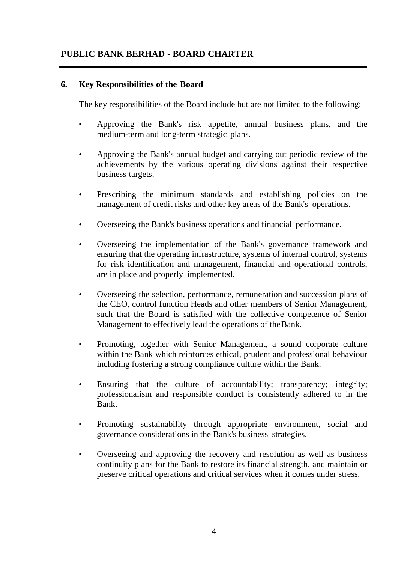## <span id="page-5-0"></span>**6. Key Responsibilities of the Board**

The key responsibilities of the Board include but are not limited to the following:

- Approving the Bank's risk appetite, annual business plans, and the medium-term and long-term strategic plans.
- Approving the Bank's annual budget and carrying out periodic review of the achievements by the various operating divisions against their respective business targets.
- Prescribing the minimum standards and establishing policies on the management of credit risks and other key areas of the Bank's operations.
- Overseeing the Bank's business operations and financial performance.
- Overseeing the implementation of the Bank's governance framework and ensuring that the operating infrastructure, systems of internal control, systems for risk identification and management, financial and operational controls, are in place and properly implemented.
- Overseeing the selection, performance, remuneration and succession plans of the CEO, control function Heads and other members of Senior Management, such that the Board is satisfied with the collective competence of Senior Management to effectively lead the operations of theBank.
- Promoting, together with Senior Management, a sound corporate culture within the Bank which reinforces ethical, prudent and professional behaviour including fostering a strong compliance culture within the Bank.
- Ensuring that the culture of accountability; transparency; integrity; professionalism and responsible conduct is consistently adhered to in the Bank.
- Promoting sustainability through appropriate environment, social and governance considerations in the Bank's business strategies.
- Overseeing and approving the recovery and resolution as well as business continuity plans for the Bank to restore its financial strength, and maintain or preserve critical operations and critical services when it comes under stress.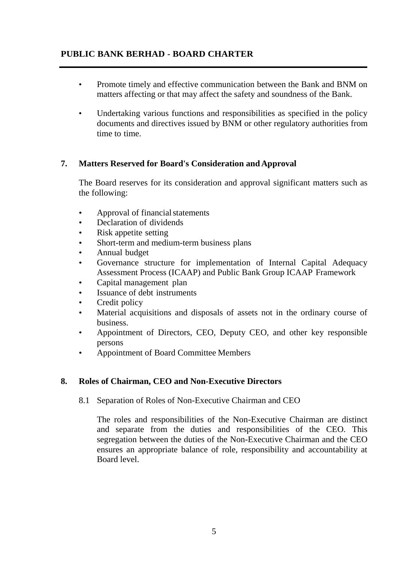- Promote timely and effective communication between the Bank and BNM on matters affecting or that may affect the safety and soundness of the Bank.
- Undertaking various functions and responsibilities as specified in the policy documents and directives issued by BNM or other regulatory authorities from time to time.

## <span id="page-6-0"></span>**7. Matters Reserved for Board's Consideration and Approval**

The Board reserves for its consideration and approval significant matters such as the following:

- Approval of financial statements
- Declaration of dividends
- Risk appetite setting
- Short-term and medium-term business plans
- Annual budget
- Governance structure for implementation of Internal Capital Adequacy Assessment Process (ICAAP) and Public Bank Group ICAAP Framework
- Capital management plan
- Issuance of debt instruments
- Credit policy
- Material acquisitions and disposals of assets not in the ordinary course of business.
- Appointment of Directors, CEO, Deputy CEO, and other key responsible persons
- Appointment of Board Committee Members

## **8. Roles of Chairman, CEO and Non-Executive Directors**

## 8.1 Separation of Roles of Non-Executive Chairman and CEO

The roles and responsibilities of the Non-Executive Chairman are distinct and separate from the duties and responsibilities of the CEO. This segregation between the duties of the Non-Executive Chairman and the CEO ensures an appropriate balance of role, responsibility and accountability at Board level.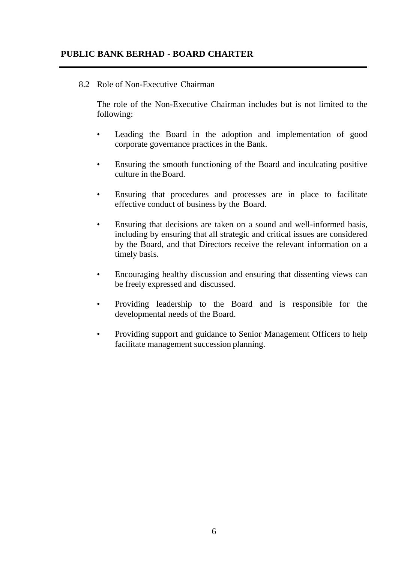## <span id="page-7-0"></span>8.2 Role of Non-Executive Chairman

The role of the Non-Executive Chairman includes but is not limited to the following:

- Leading the Board in the adoption and implementation of good corporate governance practices in the Bank.
- Ensuring the smooth functioning of the Board and inculcating positive culture in theBoard.
- Ensuring that procedures and processes are in place to facilitate effective conduct of business by the Board.
- Ensuring that decisions are taken on a sound and well-informed basis, including by ensuring that all strategic and critical issues are considered by the Board, and that Directors receive the relevant information on a timely basis.
- Encouraging healthy discussion and ensuring that dissenting views can be freely expressed and discussed.
- Providing leadership to the Board and is responsible for the developmental needs of the Board.
- Providing support and guidance to Senior Management Officers to help facilitate management succession planning.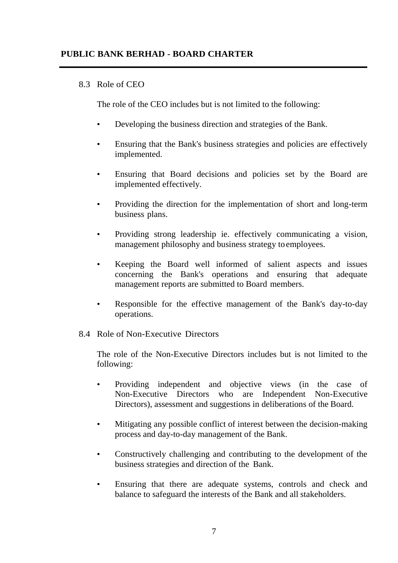## 8.3 Role of CEO

The role of the CEO includes but is not limited to the following:

- Developing the business direction and strategies of the Bank.
- Ensuring that the Bank's business strategies and policies are effectively implemented.
- Ensuring that Board decisions and policies set by the Board are implemented effectively.
- Providing the direction for the implementation of short and long-term business plans.
- Providing strong leadership ie. effectively communicating a vision, management philosophy and business strategy toemployees.
- Keeping the Board well informed of salient aspects and issues concerning the Bank's operations and ensuring that adequate management reports are submitted to Board members.
- Responsible for the effective management of the Bank's day-to-day operations.
- 8.4 Role of Non-Executive Directors

The role of the Non-Executive Directors includes but is not limited to the following:

- Providing independent and objective views (in the case of Non-Executive Directors who are Independent Non-Executive Directors), assessment and suggestions in deliberations of the Board.
- Mitigating any possible conflict of interest between the decision-making process and day-to-day management of the Bank.
- Constructively challenging and contributing to the development of the business strategies and direction of the Bank.
- Ensuring that there are adequate systems, controls and check and balance to safeguard the interests of the Bank and all stakeholders.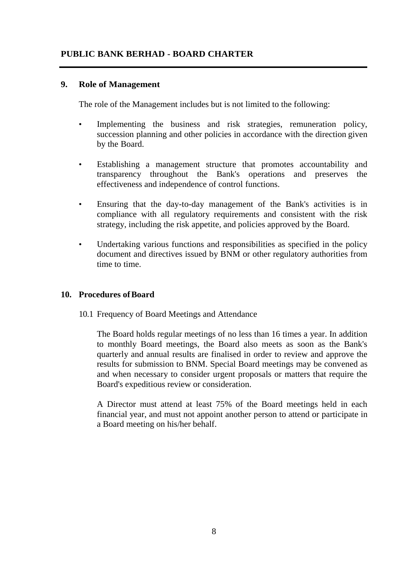## **9. Role of Management**

The role of the Management includes but is not limited to the following:

- Implementing the business and risk strategies, remuneration policy, succession planning and other policies in accordance with the direction given by the Board.
- Establishing a management structure that promotes accountability and transparency throughout the Bank's operations and preserves the effectiveness and independence of control functions.
- Ensuring that the day-to-day management of the Bank's activities is in compliance with all regulatory requirements and consistent with the risk strategy, including the risk appetite, and policies approved by the Board.
- Undertaking various functions and responsibilities as specified in the policy document and directives issued by BNM or other regulatory authorities from time to time.

## <span id="page-9-0"></span>**10. Procedures ofBoard**

10.1 Frequency of Board Meetings and Attendance

The Board holds regular meetings of no less than 16 times a year. In addition to monthly Board meetings, the Board also meets as soon as the Bank's quarterly and annual results are finalised in order to review and approve the results for submission to BNM. Special Board meetings may be convened as and when necessary to consider urgent proposals or matters that require the Board's expeditious review or consideration.

A Director must attend at least 75% of the Board meetings held in each financial year, and must not appoint another person to attend or participate in a Board meeting on his/her behalf.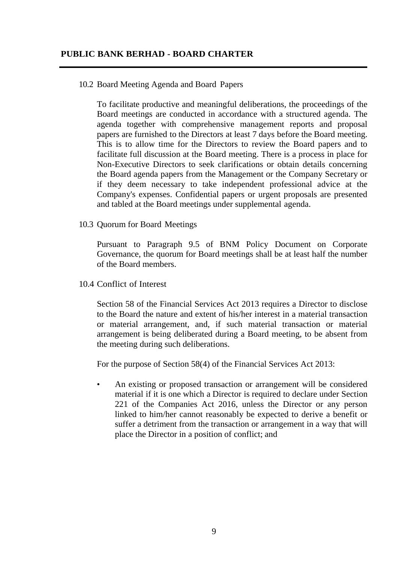## 10.2 Board Meeting Agenda and Board Papers

To facilitate productive and meaningful deliberations, the proceedings of the Board meetings are conducted in accordance with a structured agenda. The agenda together with comprehensive management reports and proposal papers are furnished to the Directors at least 7 days before the Board meeting. This is to allow time for the Directors to review the Board papers and to facilitate full discussion at the Board meeting. There is a process in place for Non-Executive Directors to seek clarifications or obtain details concerning the Board agenda papers from the Management or the Company Secretary or if they deem necessary to take independent professional advice at the Company's expenses. Confidential papers or urgent proposals are presented and tabled at the Board meetings under supplemental agenda.

10.3 Quorum for Board Meetings

Pursuant to Paragraph 9.5 of BNM Policy Document on Corporate Governance, the quorum for Board meetings shall be at least half the number of the Board members.

10.4 Conflict of Interest

Section 58 of the Financial Services Act 2013 requires a Director to disclose to the Board the nature and extent of his/her interest in a material transaction or material arrangement, and, if such material transaction or material arrangement is being deliberated during a Board meeting, to be absent from the meeting during such deliberations.

For the purpose of Section 58(4) of the Financial Services Act 2013:

• An existing or proposed transaction or arrangement will be considered material if it is one which a Director is required to declare under Section 221 of the Companies Act 2016, unless the Director or any person linked to him/her cannot reasonably be expected to derive a benefit or suffer a detriment from the transaction or arrangement in a way that will place the Director in a position of conflict; and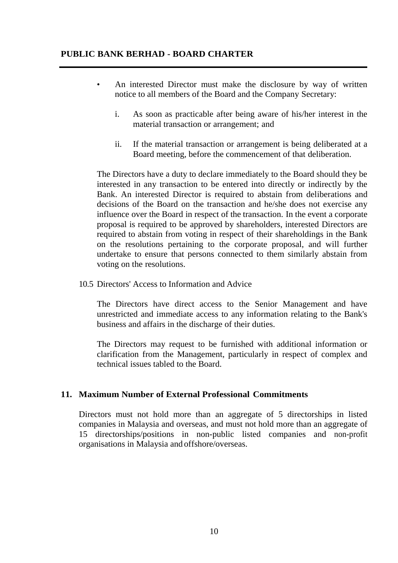- An interested Director must make the disclosure by way of written notice to all members of the Board and the Company Secretary:
	- i. As soon as practicable after being aware of his/her interest in the material transaction or arrangement; and
	- ii. If the material transaction or arrangement is being deliberated at a Board meeting, before the commencement of that deliberation.

The Directors have a duty to declare immediately to the Board should they be interested in any transaction to be entered into directly or indirectly by the Bank. An interested Director is required to abstain from deliberations and decisions of the Board on the transaction and he/she does not exercise any influence over the Board in respect of the transaction. In the event a corporate proposal is required to be approved by shareholders, interested Directors are required to abstain from voting in respect of their shareholdings in the Bank on the resolutions pertaining to the corporate proposal, and will further undertake to ensure that persons connected to them similarly abstain from voting on the resolutions.

10.5 Directors' Access to Information and Advice

The Directors have direct access to the Senior Management and have unrestricted and immediate access to any information relating to the Bank's business and affairs in the discharge of their duties.

The Directors may request to be furnished with additional information or clarification from the Management, particularly in respect of complex and technical issues tabled to the Board.

## **11. Maximum Number of External Professional Commitments**

Directors must not hold more than an aggregate of 5 directorships in listed companies in Malaysia and overseas, and must not hold more than an aggregate of 15 directorships/positions in non-public listed companies and non-profit organisations in Malaysia and offshore/overseas.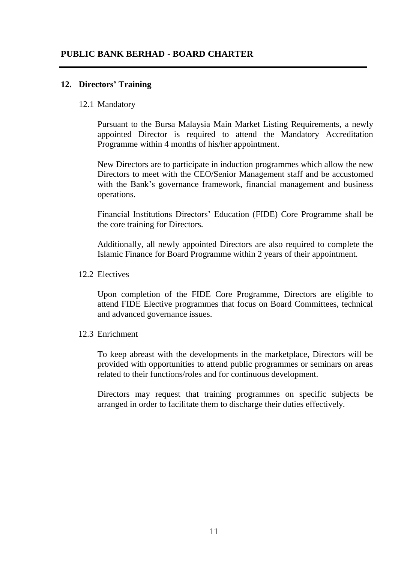## **12. Directors' Training**

#### 12.1 Mandatory

Pursuant to the Bursa Malaysia Main Market Listing Requirements, a newly appointed Director is required to attend the Mandatory Accreditation Programme within 4 months of his/her appointment.

New Directors are to participate in induction programmes which allow the new Directors to meet with the CEO/Senior Management staff and be accustomed with the Bank's governance framework, financial management and business operations.

Financial Institutions Directors' Education (FIDE) Core Programme shall be the core training for Directors.

Additionally, all newly appointed Directors are also required to complete the Islamic Finance for Board Programme within 2 years of their appointment.

#### 12.2 Electives

Upon completion of the FIDE Core Programme, Directors are eligible to attend FIDE Elective programmes that focus on Board Committees, technical and advanced governance issues.

#### 12.3 Enrichment

To keep abreast with the developments in the marketplace, Directors will be provided with opportunities to attend public programmes or seminars on areas related to their functions/roles and for continuous development.

Directors may request that training programmes on specific subjects be arranged in order to facilitate them to discharge their duties effectively.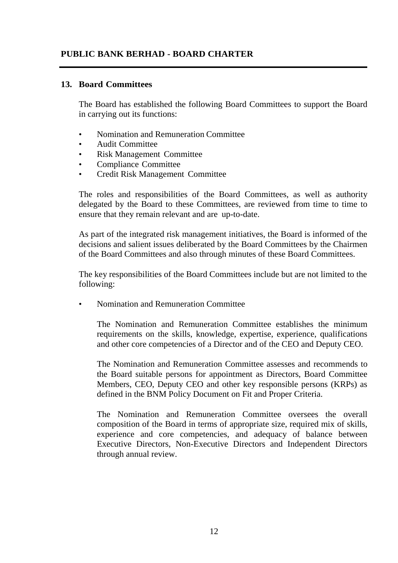#### **13. Board Committees**

The Board has established the following Board Committees to support the Board in carrying out its functions:

- Nomination and Remuneration Committee
- Audit Committee
- Risk Management Committee
- Compliance Committee
- Credit Risk Management Committee

The roles and responsibilities of the Board Committees, as well as authority delegated by the Board to these Committees, are reviewed from time to time to ensure that they remain relevant and are up-to-date.

As part of the integrated risk management initiatives, the Board is informed of the decisions and salient issues deliberated by the Board Committees by the Chairmen of the Board Committees and also through minutes of these Board Committees.

The key responsibilities of the Board Committees include but are not limited to the following:

• Nomination and Remuneration Committee

The Nomination and Remuneration Committee establishes the minimum requirements on the skills, knowledge, expertise, experience, qualifications and other core competencies of a Director and of the CEO and Deputy CEO.

The Nomination and Remuneration Committee assesses and recommends to the Board suitable persons for appointment as Directors, Board Committee Members, CEO, Deputy CEO and other key responsible persons (KRPs) as defined in the BNM Policy Document on Fit and Proper Criteria.

The Nomination and Remuneration Committee oversees the overall composition of the Board in terms of appropriate size, required mix of skills, experience and core competencies, and adequacy of balance between Executive Directors, Non-Executive Directors and Independent Directors through annual review.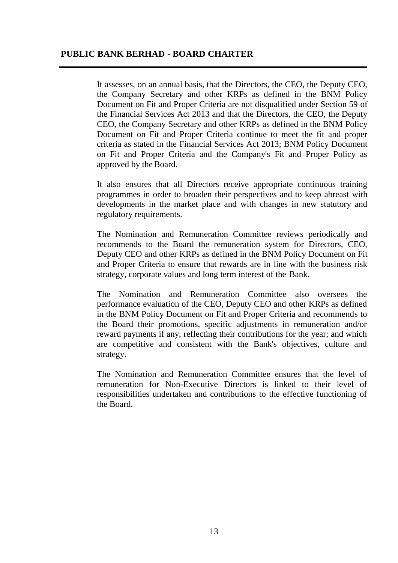It assesses, on an annual basis, that the Directors, the CEO, the Deputy CEO, the Company Secretary and other KRPs as defined in the BNM Policy Document on Fit and Proper Criteria are not disqualified under Section 59 of the Financial Services Act 2013 and that the Directors, the CEO, the Deputy CEO, the Company Secretary and other KRPs as defined in the BNM Policy Document on Fit and Proper Criteria continue to meet the fit and proper criteria as stated in the Financial Services Act 2013; BNM Policy Document on Fit and Proper Criteria and the Company's Fit and Proper Policy as approved by the Board.

It also ensures that all Directors receive appropriate continuous training programmes in order to broaden their perspectives and to keep abreast with developments in the market place and with changes in new statutory and regulatory requirements.

The Nomination and Remuneration Committee reviews periodically and recommends to the Board the remuneration system for Directors, CEO, Deputy CEO and other KRPs as defined in the BNM Policy Document on Fit and Proper Criteria to ensure that rewards are in line with the business risk strategy, corporate values and long term interest of the Bank.

The Nomination and Remuneration Committee also oversees the performance evaluation of the CEO, Deputy CEO and other KRPs as defined in the BNM Policy Document on Fit and Proper Criteria and recommends to the Board their promotions, specific adjustments in remuneration and/or reward payments if any, reflecting their contributions for the year; and which are competitive and consistent with the Bank's objectives, culture and strategy.

The Nomination and Remuneration Committee ensures that the level of remuneration for Non-Executive Directors is linked to their level of responsibilities undertaken and contributions to the effective functioning of the Board.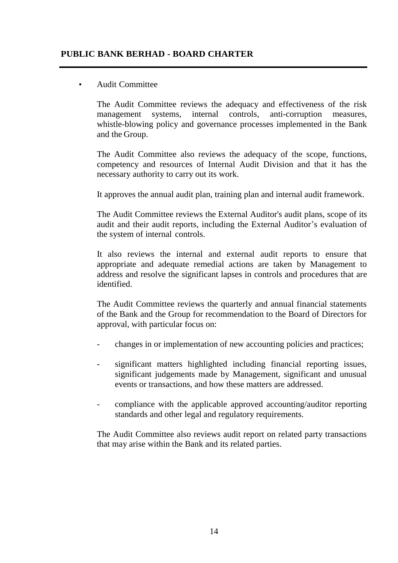## • Audit Committee

The Audit Committee reviews the adequacy and effectiveness of the risk management systems, internal controls, anti-corruption measures, whistle-blowing policy and governance processes implemented in the Bank and the Group.

The Audit Committee also reviews the adequacy of the scope, functions, competency and resources of Internal Audit Division and that it has the necessary authority to carry out its work.

It approves the annual audit plan, training plan and internal audit framework.

The Audit Committee reviews the External Auditor's audit plans, scope of its audit and their audit reports, including the External Auditor's evaluation of the system of internal controls.

It also reviews the internal and external audit reports to ensure that appropriate and adequate remedial actions are taken by Management to address and resolve the significant lapses in controls and procedures that are identified.

The Audit Committee reviews the quarterly and annual financial statements of the Bank and the Group for recommendation to the Board of Directors for approval, with particular focus on:

- changes in or implementation of new accounting policies and practices;
- significant matters highlighted including financial reporting issues, significant judgements made by Management, significant and unusual events or transactions, and how these matters are addressed.
- compliance with the applicable approved accounting/auditor reporting standards and other legal and regulatory requirements.

The Audit Committee also reviews audit report on related party transactions that may arise within the Bank and its related parties.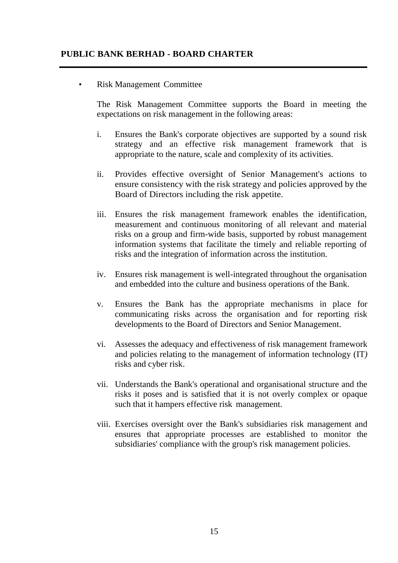• Risk Management Committee

The Risk Management Committee supports the Board in meeting the expectations on risk management in the following areas:

- i. Ensures the Bank's corporate objectives are supported by a sound risk strategy and an effective risk management framework that is appropriate to the nature, scale and complexity of its activities.
- ii. Provides effective oversight of Senior Management's actions to ensure consistency with the risk strategy and policies approved by the Board of Directors including the risk appetite.
- iii. Ensures the risk management framework enables the identification, measurement and continuous monitoring of all relevant and material risks on a group and firm-wide basis, supported by robust management information systems that facilitate the timely and reliable reporting of risks and the integration of information across the institution.
- iv. Ensures risk management is well-integrated throughout the organisation and embedded into the culture and business operations of the Bank.
- v. Ensures the Bank has the appropriate mechanisms in place for communicating risks across the organisation and for reporting risk developments to the Board of Directors and Senior Management.
- vi. Assesses the adequacy and effectiveness of risk management framework and policies relating to the management of information technology (IT*)* risks and cyber risk.
- vii. Understands the Bank's operational and organisational structure and the risks it poses and is satisfied that it is not overly complex or opaque such that it hampers effective risk management.
- viii. Exercises oversight over the Bank's subsidiaries risk management and ensures that appropriate processes are established to monitor the subsidiaries' compliance with the group's risk management policies.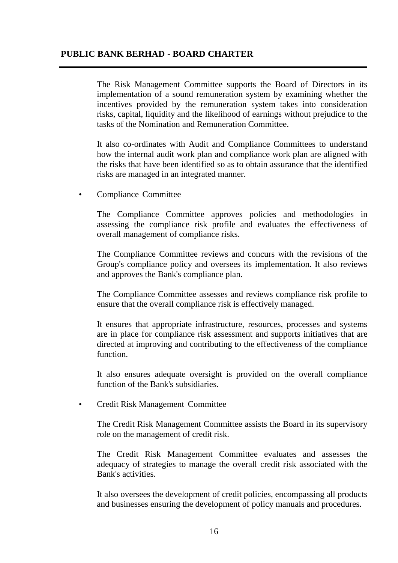The Risk Management Committee supports the Board of Directors in its implementation of a sound remuneration system by examining whether the incentives provided by the remuneration system takes into consideration risks, capital, liquidity and the likelihood of earnings without prejudice to the tasks of the Nomination and Remuneration Committee.

It also co-ordinates with Audit and Compliance Committees to understand how the internal audit work plan and compliance work plan are aligned with the risks that have been identified so as to obtain assurance that the identified risks are managed in an integrated manner.

• Compliance Committee

The Compliance Committee approves policies and methodologies in assessing the compliance risk profile and evaluates the effectiveness of overall management of compliance risks.

The Compliance Committee reviews and concurs with the revisions of the Group's compliance policy and oversees its implementation. It also reviews and approves the Bank's compliance plan.

The Compliance Committee assesses and reviews compliance risk profile to ensure that the overall compliance risk is effectively managed.

It ensures that appropriate infrastructure, resources, processes and systems are in place for compliance risk assessment and supports initiatives that are directed at improving and contributing to the effectiveness of the compliance function.

It also ensures adequate oversight is provided on the overall compliance function of the Bank's subsidiaries.

• Credit Risk Management Committee

The Credit Risk Management Committee assists the Board in its supervisory role on the management of credit risk.

The Credit Risk Management Committee evaluates and assesses the adequacy of strategies to manage the overall credit risk associated with the Bank's activities.

It also oversees the development of credit policies, encompassing all products and businesses ensuring the development of policy manuals and procedures.